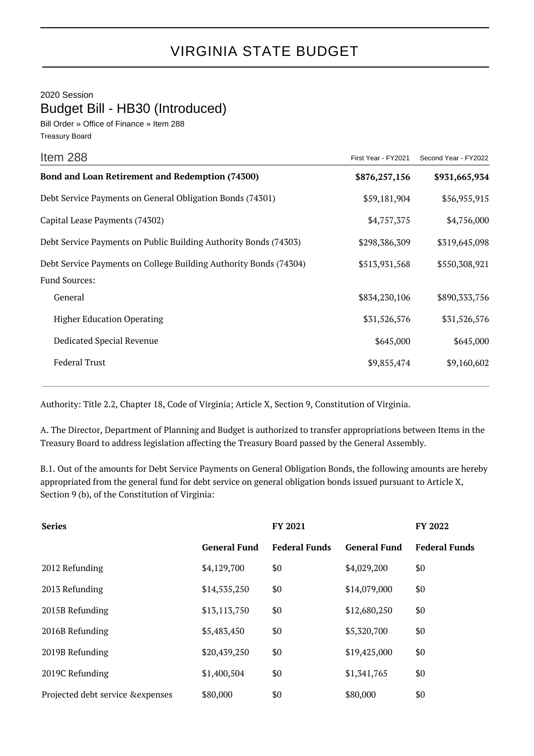2020 Session Budget Bill - HB30 (Introduced)

Bill Order » Office of Finance » Item 288 Treasury Board

| Item 288                                                          | First Year - FY2021 | Second Year - FY2022 |
|-------------------------------------------------------------------|---------------------|----------------------|
| Bond and Loan Retirement and Redemption (74300)                   | \$876,257,156       | \$931,665,934        |
| Debt Service Payments on General Obligation Bonds (74301)         | \$59,181,904        | \$56,955,915         |
| Capital Lease Payments (74302)                                    | \$4,757,375         | \$4,756,000          |
| Debt Service Payments on Public Building Authority Bonds (74303)  | \$298,386,309       | \$319,645,098        |
| Debt Service Payments on College Building Authority Bonds (74304) | \$513,931,568       | \$550,308,921        |
| <b>Fund Sources:</b>                                              |                     |                      |
| General                                                           | \$834,230,106       | \$890,333,756        |
| <b>Higher Education Operating</b>                                 | \$31,526,576        | \$31,526,576         |
| Dedicated Special Revenue                                         | \$645,000           | \$645,000            |
| <b>Federal Trust</b>                                              | \$9,855,474         | \$9,160,602          |
|                                                                   |                     |                      |

Authority: Title 2.2, Chapter 18, Code of Virginia; Article X, Section 9, Constitution of Virginia.

A. The Director, Department of Planning and Budget is authorized to transfer appropriations between Items in the Treasury Board to address legislation affecting the Treasury Board passed by the General Assembly.

B.1. Out of the amounts for Debt Service Payments on General Obligation Bonds, the following amounts are hereby appropriated from the general fund for debt service on general obligation bonds issued pursuant to Article X, Section 9 (b), of the Constitution of Virginia:

| <b>Series</b>                     |                     | FY 2021              |                     | <b>FY 2022</b>       |
|-----------------------------------|---------------------|----------------------|---------------------|----------------------|
|                                   | <b>General Fund</b> | <b>Federal Funds</b> | <b>General Fund</b> | <b>Federal Funds</b> |
| 2012 Refunding                    | \$4,129,700         | \$0                  | \$4,029,200         | \$0                  |
| 2013 Refunding                    | \$14,535,250        | \$0                  | \$14,079,000        | \$0                  |
| 2015B Refunding                   | \$13,113,750        | \$0                  | \$12,680,250        | \$0                  |
| 2016B Refunding                   | \$5,483,450         | \$0                  | \$5,320,700         | \$0                  |
| 2019B Refunding                   | \$20,439,250        | \$0                  | \$19,425,000        | \$0                  |
| 2019C Refunding                   | \$1,400,504         | \$0                  | \$1,341,765         | \$0                  |
| Projected debt service & expenses | \$80,000            | \$0                  | \$80,000            | \$0                  |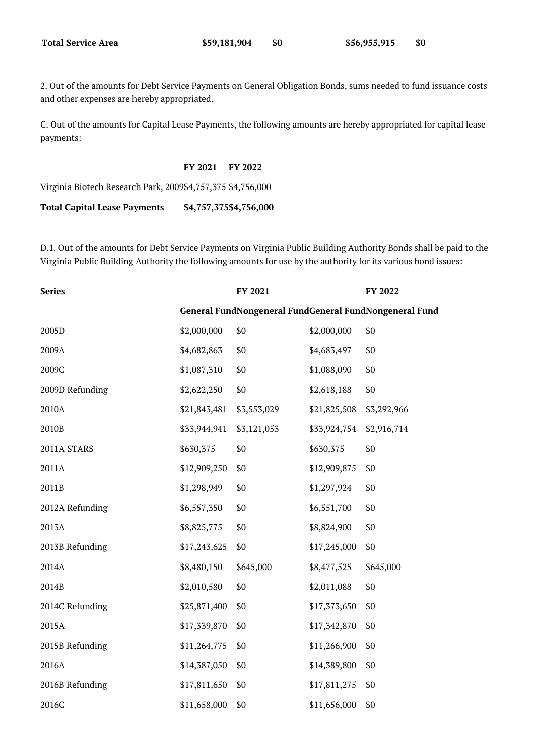2. Out of the amounts for Debt Service Payments on General Obligation Bonds, sums needed to fund issuance costs and other expenses are hereby appropriated.

C. Out of the amounts for Capital Lease Payments, the following amounts are hereby appropriated for capital lease payments:

**FY 2021 FY 2022**

Virginia Biotech Research Park, 2009\$4,757,375 \$4,756,000

**Total Capital Lease Payments \$4,757,375\$4,756,000**

D.1. Out of the amounts for Debt Service Payments on Virginia Public Building Authority Bonds shall be paid to the Virginia Public Building Authority the following amounts for use by the authority for its various bond issues:

| <b>Series</b>   |              | FY 2021     |              | FY 2022                                                |
|-----------------|--------------|-------------|--------------|--------------------------------------------------------|
|                 |              |             |              | General FundNongeneral FundGeneral FundNongeneral Fund |
| 2005D           | \$2,000,000  | \$0         | \$2,000,000  | \$0                                                    |
| 2009A           | \$4,682,863  | \$0         | \$4,683,497  | \$0                                                    |
| 2009C           | \$1,087,310  | \$0         | \$1,088,090  | \$0                                                    |
| 2009D Refunding | \$2,622,250  | \$0         | \$2,618,188  | \$0                                                    |
| 2010A           | \$21,843,481 | \$3,553,029 | \$21,825,508 | \$3,292,966                                            |
| 2010B           | \$33,944,941 | \$3,121,053 | \$33,924,754 | \$2,916,714                                            |
| 2011A STARS     | \$630,375    | \$0         | \$630,375    | \$0                                                    |
| 2011A           | \$12,909,250 | \$0         | \$12,909,875 | \$0                                                    |
| 2011B           | \$1,298,949  | \$0         | \$1,297,924  | \$0                                                    |
| 2012A Refunding | \$6,557,350  | \$0         | \$6,551,700  | \$0                                                    |
| 2013A           | \$8,825,775  | \$0         | \$8,824,900  | \$0                                                    |
| 2013B Refunding | \$17,243,625 | \$0         | \$17,245,000 | \$0                                                    |
| 2014A           | \$8,480,150  | \$645,000   | \$8,477,525  | \$645,000                                              |
| 2014B           | \$2,010,580  | \$0         | \$2,011,088  | \$0                                                    |
| 2014C Refunding | \$25,871,400 | \$0         | \$17,373,650 | \$0                                                    |
| 2015A           | \$17,339,870 | \$0         | \$17,342,870 | \$0                                                    |
| 2015B Refunding | \$11,264,775 | \$0         | \$11,266,900 | \$0                                                    |
| 2016A           | \$14,387,050 | \$0         | \$14,389,800 | \$0                                                    |
| 2016B Refunding | \$17,811,650 | \$0         | \$17,811,275 | \$0                                                    |
| 2016C           | \$11,658,000 | \$0         | \$11,656,000 | \$0                                                    |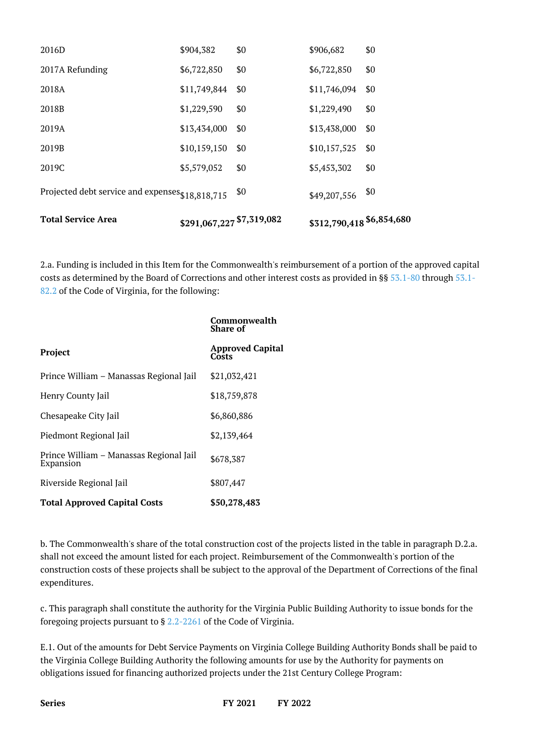| <b>Total Service Area</b>                        | \$291,067,227 \$7,319,082 |     | \$312,790,418 \$6,854,680 |     |
|--------------------------------------------------|---------------------------|-----|---------------------------|-----|
| Projected debt service and expenses \$18,818,715 |                           | \$0 | \$49,207,556              | \$0 |
| 2019C                                            | \$5,579,052               | \$0 | \$5,453,302               | \$0 |
| 2019B                                            | \$10,159,150              | \$0 | \$10,157,525              | \$0 |
| 2019A                                            | \$13,434,000              | \$0 | \$13,438,000              | \$0 |
| 2018B                                            | \$1,229,590               | \$0 | \$1,229,490               | \$0 |
| 2018A                                            | \$11,749,844              | \$0 | \$11,746,094              | \$0 |
| 2017A Refunding                                  | \$6,722,850               | \$0 | \$6,722,850               | \$0 |
| 2016D                                            | \$904,382                 | \$0 | \$906,682                 | \$0 |

2.a. Funding is included in this Item for the Commonwealth's reimbursement of a portion of the approved capital costs as determined by the Board of Corrections and other interest costs as provided in §§ [53.1-80](http://law.lis.virginia.gov/vacode/53.1-80/) through [53.1-](http://law.lis.virginia.gov/vacode/53.1-82.2/) [82.2](http://law.lis.virginia.gov/vacode/53.1-82.2/) of the Code of Virginia, for the following:

|                                                      | Commonwealth<br><b>Share of</b>  |
|------------------------------------------------------|----------------------------------|
| Project                                              | <b>Approved Capital</b><br>Costs |
| Prince William - Manassas Regional Jail              | \$21,032,421                     |
| Henry County Jail                                    | \$18,759,878                     |
| Chesapeake City Jail                                 | \$6,860,886                      |
| Piedmont Regional Jail                               | \$2,139,464                      |
| Prince William - Manassas Regional Jail<br>Expansion | \$678,387                        |
| Riverside Regional Jail                              | \$807,447                        |
| <b>Total Approved Capital Costs</b>                  | \$50,278,483                     |

b. The Commonwealth's share of the total construction cost of the projects listed in the table in paragraph D.2.a. shall not exceed the amount listed for each project. Reimbursement of the Commonwealth's portion of the construction costs of these projects shall be subject to the approval of the Department of Corrections of the final expenditures.

c. This paragraph shall constitute the authority for the Virginia Public Building Authority to issue bonds for the foregoing projects pursuant to § [2.2-2261](http://law.lis.virginia.gov/vacode/2.2-2261/) of the Code of Virginia.

E.1. Out of the amounts for Debt Service Payments on Virginia College Building Authority Bonds shall be paid to the Virginia College Building Authority the following amounts for use by the Authority for payments on obligations issued for financing authorized projects under the 21st Century College Program: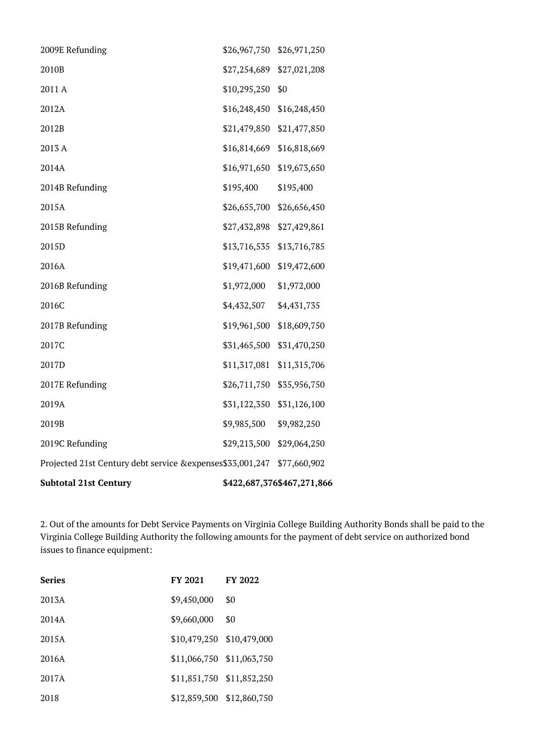| <b>Subtotal 21st Century</b>                                            |                           | \$422,687,376\$467,271,866 |
|-------------------------------------------------------------------------|---------------------------|----------------------------|
| Projected 21st Century debt service &expenses \$33,001,247 \$77,660,902 |                           |                            |
| 2019C Refunding                                                         | \$29,213,500 \$29,064,250 |                            |
| 2019B                                                                   | \$9,985,500               | \$9,982,250                |
| 2019A                                                                   | \$31,122,350 \$31,126,100 |                            |
| 2017E Refunding                                                         | \$26,711,750 \$35,956,750 |                            |
| 2017D                                                                   | \$11,317,081 \$11,315,706 |                            |
| 2017C                                                                   | \$31,465,500 \$31,470,250 |                            |
| 2017B Refunding                                                         | \$19,961,500 \$18,609,750 |                            |
| 2016C                                                                   | \$4,432,507               | \$4,431,735                |
| 2016B Refunding                                                         | \$1,972,000               | \$1,972,000                |
| 2016A                                                                   | \$19,471,600 \$19,472,600 |                            |
| 2015D                                                                   | \$13,716,535 \$13,716,785 |                            |
| 2015B Refunding                                                         | \$27,432,898 \$27,429,861 |                            |
| 2015A                                                                   | \$26,655,700 \$26,656,450 |                            |
| 2014B Refunding                                                         | \$195,400                 | \$195,400                  |
| 2014A                                                                   | \$16,971,650 \$19,673,650 |                            |
| 2013 A                                                                  | \$16,814,669 \$16,818,669 |                            |
| 2012B                                                                   | \$21,479,850 \$21,477,850 |                            |
| 2012A                                                                   | \$16,248,450 \$16,248,450 |                            |
| 2011 A                                                                  | \$10,295,250              | \$0                        |
| 2010B                                                                   | \$27,254,689 \$27,021,208 |                            |
| 2009E Refunding                                                         | \$26,967,750 \$26,971,250 |                            |

2. Out of the amounts for Debt Service Payments on Virginia College Building Authority Bonds shall be paid to the Virginia College Building Authority the following amounts for the payment of debt service on authorized bond issues to finance equipment:

| <b>Series</b> | FY 2021                   | <b>FY 2022</b> |
|---------------|---------------------------|----------------|
| 2013A         | \$9,450,000               | \$0            |
| 2014A         | \$9,660,000               | \$0            |
| 2015A         | \$10,479,250 \$10,479,000 |                |
| 2016A         | \$11,066,750 \$11,063,750 |                |
| 2017A         | \$11,851,750 \$11,852,250 |                |
| 2018          | \$12,859,500 \$12,860,750 |                |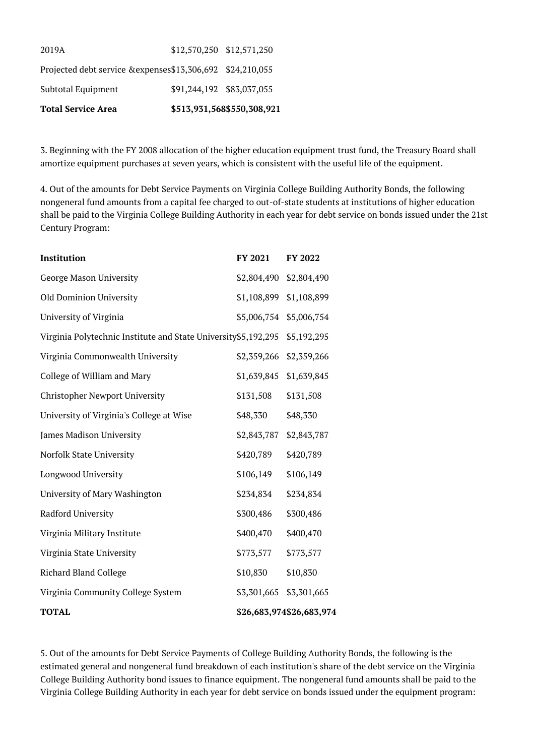| <b>Total Service Area</b>                                   |                           | \$513,931,568\$550,308,921 |
|-------------------------------------------------------------|---------------------------|----------------------------|
| Subtotal Equipment                                          | \$91,244,192 \$83,037,055 |                            |
| Projected debt service & expenses \$13,306,692 \$24,210,055 |                           |                            |
| 2019A                                                       | \$12,570,250 \$12,571,250 |                            |

3. Beginning with the FY 2008 allocation of the higher education equipment trust fund, the Treasury Board shall amortize equipment purchases at seven years, which is consistent with the useful life of the equipment.

4. Out of the amounts for Debt Service Payments on Virginia College Building Authority Bonds, the following nongeneral fund amounts from a capital fee charged to out-of-state students at institutions of higher education shall be paid to the Virginia College Building Authority in each year for debt service on bonds issued under the 21st Century Program:

| Institution                                                     | FY 2021     | FY 2022                  |
|-----------------------------------------------------------------|-------------|--------------------------|
| George Mason University                                         | \$2,804,490 | \$2,804,490              |
| Old Dominion University                                         | \$1,108,899 | \$1,108,899              |
| University of Virginia                                          | \$5,006,754 | \$5,006,754              |
| Virginia Polytechnic Institute and State University \$5,192,295 |             | \$5,192,295              |
| Virginia Commonwealth University                                |             | \$2,359,266 \$2,359,266  |
| College of William and Mary                                     |             | \$1,639,845 \$1,639,845  |
| <b>Christopher Newport University</b>                           | \$131,508   | \$131,508                |
| University of Virginia's College at Wise                        | \$48,330    | \$48,330                 |
| James Madison University                                        | \$2,843,787 | \$2,843,787              |
| Norfolk State University                                        | \$420,789   | \$420,789                |
| Longwood University                                             | \$106,149   | \$106,149                |
| University of Mary Washington                                   | \$234,834   | \$234,834                |
| Radford University                                              | \$300,486   | \$300,486                |
| Virginia Military Institute                                     | \$400,470   | \$400,470                |
| Virginia State University                                       | \$773,577   | \$773,577                |
| <b>Richard Bland College</b>                                    | \$10,830    | \$10,830                 |
| Virginia Community College System                               | \$3,301,665 | \$3,301,665              |
| <b>TOTAL</b>                                                    |             | \$26,683,974\$26,683,974 |

5. Out of the amounts for Debt Service Payments of College Building Authority Bonds, the following is the estimated general and nongeneral fund breakdown of each institution's share of the debt service on the Virginia College Building Authority bond issues to finance equipment. The nongeneral fund amounts shall be paid to the Virginia College Building Authority in each year for debt service on bonds issued under the equipment program: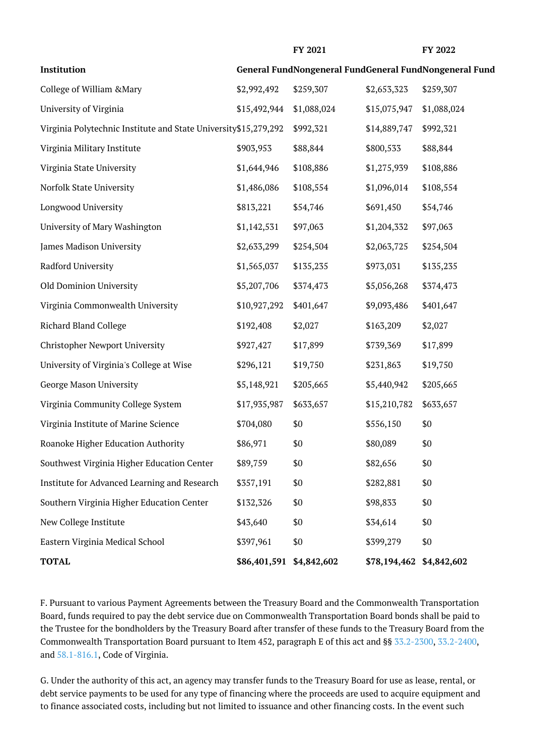| ×<br>٧ |  |
|--------|--|
|--------|--|

**FY 2021 FY 2022**

| Institution                                                      |                          |             |                          | General FundNongeneral FundGeneral FundNongeneral Fund |
|------------------------------------------------------------------|--------------------------|-------------|--------------------------|--------------------------------------------------------|
| College of William & Mary                                        | \$2,992,492              | \$259,307   | \$2,653,323              | \$259,307                                              |
| University of Virginia                                           | \$15,492,944             | \$1,088,024 | \$15,075,947             | \$1,088,024                                            |
| Virginia Polytechnic Institute and State University \$15,279,292 |                          | \$992,321   | \$14,889,747             | \$992,321                                              |
| Virginia Military Institute                                      | \$903,953                | \$88,844    | \$800,533                | \$88,844                                               |
| Virginia State University                                        | \$1,644,946              | \$108,886   | \$1,275,939              | \$108,886                                              |
| Norfolk State University                                         | \$1,486,086              | \$108,554   | \$1,096,014              | \$108,554                                              |
| Longwood University                                              | \$813,221                | \$54,746    | \$691,450                | \$54,746                                               |
| University of Mary Washington                                    | \$1,142,531              | \$97,063    | \$1,204,332              | \$97,063                                               |
| James Madison University                                         | \$2,633,299              | \$254,504   | \$2,063,725              | \$254,504                                              |
| Radford University                                               | \$1,565,037              | \$135,235   | \$973,031                | \$135,235                                              |
| Old Dominion University                                          | \$5,207,706              | \$374,473   | \$5,056,268              | \$374,473                                              |
| Virginia Commonwealth University                                 | \$10,927,292             | \$401,647   | \$9,093,486              | \$401,647                                              |
| <b>Richard Bland College</b>                                     | \$192,408                | \$2,027     | \$163,209                | \$2,027                                                |
| <b>Christopher Newport University</b>                            | \$927,427                | \$17,899    | \$739,369                | \$17,899                                               |
| University of Virginia's College at Wise                         | \$296,121                | \$19,750    | \$231,863                | \$19,750                                               |
| George Mason University                                          | \$5,148,921              | \$205,665   | \$5,440,942              | \$205,665                                              |
| Virginia Community College System                                | \$17,935,987             | \$633,657   | \$15,210,782             | \$633,657                                              |
| Virginia Institute of Marine Science                             | \$704,080                | \$0         | \$556,150                | \$0                                                    |
| Roanoke Higher Education Authority                               | \$86,971                 | \$0         | \$80,089                 | \$0                                                    |
| Southwest Virginia Higher Education Center                       | \$89,759                 | \$0         | \$82,656                 | \$0                                                    |
| Institute for Advanced Learning and Research                     | \$357,191                | \$0         | \$282,881                | \$0                                                    |
| Southern Virginia Higher Education Center                        | \$132,326                | \$0         | \$98,833                 | \$0                                                    |
| New College Institute                                            | \$43,640                 | \$0         | \$34,614                 | \$0                                                    |
| Eastern Virginia Medical School                                  | \$397,961                | \$0         | \$399,279                | \$0                                                    |
| <b>TOTAL</b>                                                     | \$86,401,591 \$4,842,602 |             | \$78,194,462 \$4,842,602 |                                                        |

F. Pursuant to various Payment Agreements between the Treasury Board and the Commonwealth Transportation Board, funds required to pay the debt service due on Commonwealth Transportation Board bonds shall be paid to the Trustee for the bondholders by the Treasury Board after transfer of these funds to the Treasury Board from the Commonwealth Transportation Board pursuant to Item 452, paragraph E of this act and §§ [33.2-2300,](http://law.lis.virginia.gov/vacode/33.2-2300/) [33.2-2400](http://law.lis.virginia.gov/vacode/33.2-2400/), and [58.1-816.1](http://law.lis.virginia.gov/vacode/58.1-816.1/), Code of Virginia.

G. Under the authority of this act, an agency may transfer funds to the Treasury Board for use as lease, rental, or debt service payments to be used for any type of financing where the proceeds are used to acquire equipment and to finance associated costs, including but not limited to issuance and other financing costs. In the event such